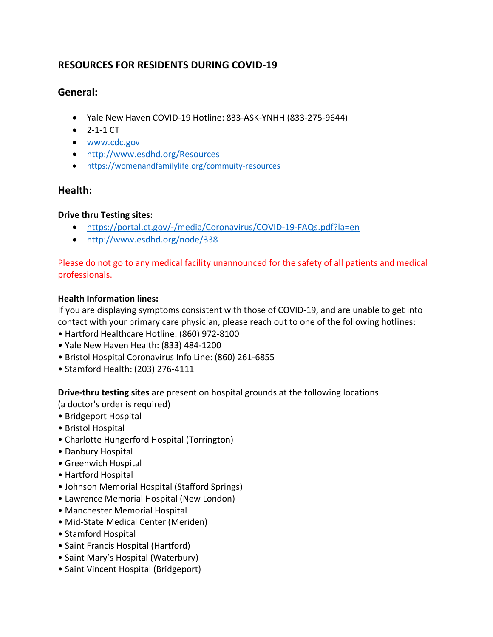# **RESOURCES FOR RESIDENTS DURING COVID-19**

# **General:**

- Yale New Haven COVID-19 Hotline: 833-ASK-YNHH (833-275-9644)
- $2 1 1$  CT
- www.cdc.gov
- http://www.esdhd.org/Resources
- https://womenandfamilylife.org/commuity-resources

## **Health:**

## **Drive thru Testing sites:**

- https://portal.ct.gov/-/media/Coronavirus/COVID-19-FAQs.pdf?la=en
- http://www.esdhd.org/node/338

Please do not go to any medical facility unannounced for the safety of all patients and medical professionals.

## **Health Information lines:**

If you are displaying symptoms consistent with those of COVID-19, and are unable to get into contact with your primary care physician, please reach out to one of the following hotlines:

- Hartford Healthcare Hotline: (860) 972-8100
- Yale New Haven Health: (833) 484-1200
- Bristol Hospital Coronavirus Info Line: (860) 261-6855
- Stamford Health: (203) 276-4111

**Drive-thru testing sites** are present on hospital grounds at the following locations

(a doctor's order is required)

- Bridgeport Hospital
- Bristol Hospital
- Charlotte Hungerford Hospital (Torrington)
- Danbury Hospital
- Greenwich Hospital
- Hartford Hospital
- Johnson Memorial Hospital (Stafford Springs)
- Lawrence Memorial Hospital (New London)
- Manchester Memorial Hospital
- Mid-State Medical Center (Meriden)
- Stamford Hospital
- Saint Francis Hospital (Hartford)
- Saint Mary's Hospital (Waterbury)
- Saint Vincent Hospital (Bridgeport)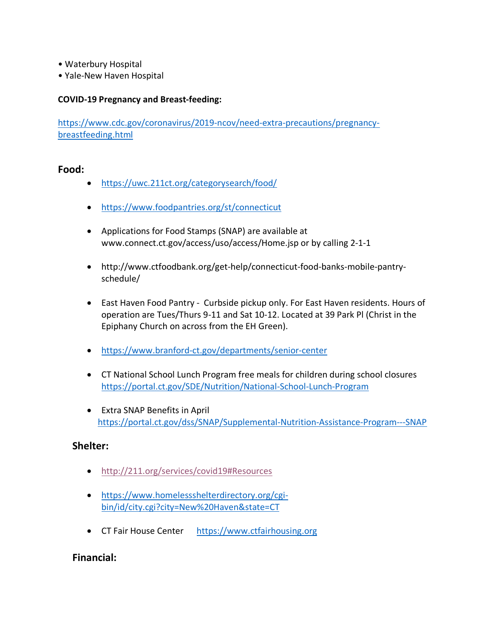- Waterbury Hospital
- Yale-New Haven Hospital

#### **COVID-19 Pregnancy and Breast-feeding:**

https://www.cdc.gov/coronavirus/2019-ncov/need-extra-precautions/pregnancybreastfeeding.html

#### **Food:**

- https://uwc.211ct.org/categorysearch/food/
- https://www.foodpantries.org/st/connecticut
- Applications for Food Stamps (SNAP) are available at www.connect.ct.gov/access/uso/access/Home.jsp or by calling 2-1-1
- http://www.ctfoodbank.org/get-help/connecticut-food-banks-mobile-pantryschedule/
- East Haven Food Pantry Curbside pickup only. For East Haven residents. Hours of operation are Tues/Thurs 9-11 and Sat 10-12. Located at 39 Park Pl (Christ in the Epiphany Church on across from the EH Green).
- https://www.branford-ct.gov/departments/senior-center
- CT National School Lunch Program free meals for children during school closures https://portal.ct.gov/SDE/Nutrition/National-School-Lunch-Program
- Extra SNAP Benefits in April https://portal.ct.gov/dss/SNAP/Supplemental-Nutrition-Assistance-Program---SNAP

### **Shelter:**

- http://211.org/services/covid19#Resources
- https://www.homelessshelterdirectory.org/cgibin/id/city.cgi?city=New%20Haven&state=CT
- CT Fair House Center https://www.ctfairhousing.org

### **Financial:**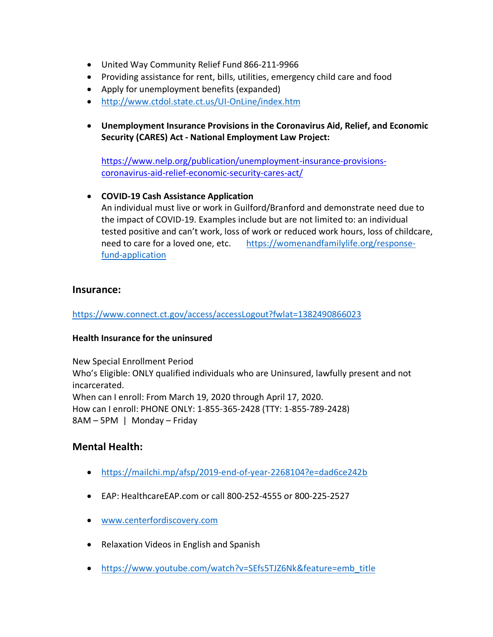- United Way Community Relief Fund 866-211-9966
- Providing assistance for rent, bills, utilities, emergency child care and food
- Apply for unemployment benefits (expanded)
- http://www.ctdol.state.ct.us/UI-OnLine/index.htm
- **Unemployment Insurance Provisions in the Coronavirus Aid, Relief, and Economic Security (CARES) Act - National Employment Law Project:**

https://www.nelp.org/publication/unemployment-insurance-provisionscoronavirus-aid-relief-economic-security-cares-act/

### • **COVID-19 Cash Assistance Application**

An individual must live or work in Guilford/Branford and demonstrate need due to the impact of COVID-19. Examples include but are not limited to: an individual tested positive and can't work, loss of work or reduced work hours, loss of childcare, need to care for a loved one, etc. https://womenandfamilylife.org/responsefund-application

## **Insurance:**

https://www.connect.ct.gov/access/accessLogout?fwlat=1382490866023

### **Health Insurance for the uninsured**

New Special Enrollment Period Who's Eligible: ONLY qualified individuals who are Uninsured, lawfully present and not incarcerated. When can I enroll: From March 19, 2020 through April 17, 2020. How can I enroll: PHONE ONLY: 1-855-365-2428 (TTY: 1-855-789-2428) 8AM – 5PM | Monday – Friday

## **Mental Health:**

- https://mailchi.mp/afsp/2019-end-of-year-2268104?e=dad6ce242b
- EAP: HealthcareEAP.com or call 800-252-4555 or 800-225-2527
- www.centerfordiscovery.com
- Relaxation Videos in English and Spanish
- https://www.youtube.com/watch?v=SEfs5TJZ6Nk&feature=emb\_title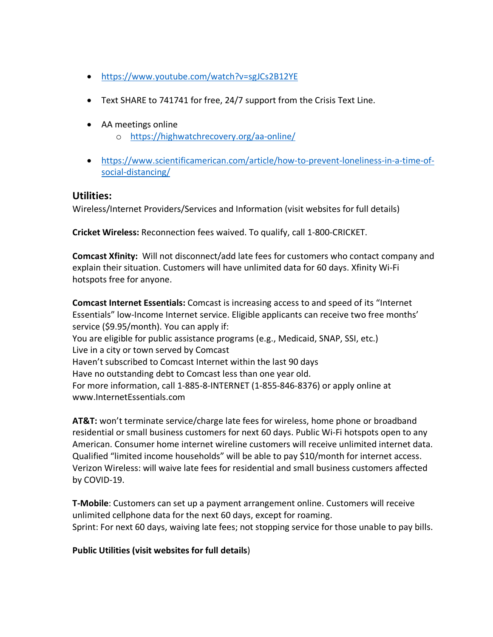- https://www.youtube.com/watch?v=sgJCs2B12YE
- Text SHARE to 741741 for free, 24/7 support from the Crisis Text Line.
- AA meetings online
	- o https://highwatchrecovery.org/aa-online/
- https://www.scientificamerican.com/article/how-to-prevent-loneliness-in-a-time-ofsocial-distancing/

### **Utilities:**

Wireless/Internet Providers/Services and Information (visit websites for full details)

**Cricket Wireless:** Reconnection fees waived. To qualify, call 1-800-CRICKET.

**Comcast Xfinity:** Will not disconnect/add late fees for customers who contact company and explain their situation. Customers will have unlimited data for 60 days. Xfinity Wi-Fi hotspots free for anyone.

**Comcast Internet Essentials:** Comcast is increasing access to and speed of its "Internet Essentials" low-Income Internet service. Eligible applicants can receive two free months' service (\$9.95/month). You can apply if: You are eligible for public assistance programs (e.g., Medicaid, SNAP, SSI, etc.) Live in a city or town served by Comcast Haven't subscribed to Comcast Internet within the last 90 days Have no outstanding debt to Comcast less than one year old. For more information, call 1-885-8-INTERNET (1-855-846-8376) or apply online at www.InternetEssentials.com

**AT&T:** won't terminate service/charge late fees for wireless, home phone or broadband residential or small business customers for next 60 days. Public Wi-Fi hotspots open to any American. Consumer home internet wireline customers will receive unlimited internet data. Qualified "limited income households" will be able to pay \$10/month for internet access. Verizon Wireless: will waive late fees for residential and small business customers affected by COVID-19.

**T-Mobile**: Customers can set up a payment arrangement online. Customers will receive unlimited cellphone data for the next 60 days, except for roaming. Sprint: For next 60 days, waiving late fees; not stopping service for those unable to pay bills.

### **Public Utilities (visit websites for full details**)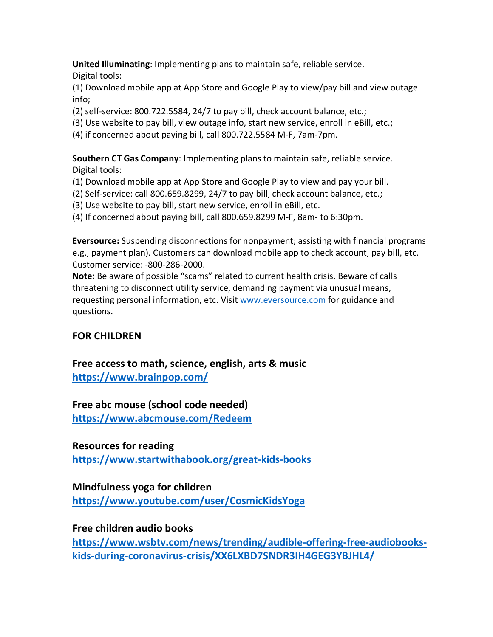**United Illuminating**: Implementing plans to maintain safe, reliable service.

Digital tools:

(1) Download mobile app at App Store and Google Play to view/pay bill and view outage info;

- (2) self-service: 800.722.5584, 24/7 to pay bill, check account balance, etc.;
- (3) Use website to pay bill, view outage info, start new service, enroll in eBill, etc.;
- (4) if concerned about paying bill, call 800.722.5584 M-F, 7am-7pm.

**Southern CT Gas Company**: Implementing plans to maintain safe, reliable service. Digital tools:

- (1) Download mobile app at App Store and Google Play to view and pay your bill.
- (2) Self-service: call 800.659.8299, 24/7 to pay bill, check account balance, etc.;
- (3) Use website to pay bill, start new service, enroll in eBill, etc.
- (4) If concerned about paying bill, call 800.659.8299 M-F, 8am- to 6:30pm.

**Eversource:** Suspending disconnections for nonpayment; assisting with financial programs e.g., payment plan). Customers can download mobile app to check account, pay bill, etc. Customer service: -800-286-2000.

**Note:** Be aware of possible "scams" related to current health crisis. Beware of calls threatening to disconnect utility service, demanding payment via unusual means, requesting personal information, etc. Visit www.eversource.com for guidance and questions.

# **FOR CHILDREN**

**Free access to math, science, english, arts & music https://www.brainpop.com/** 

# **Free abc mouse (school code needed)**

**https://www.abcmouse.com/Redeem** 

# **Resources for reading**

**https://www.startwithabook.org/great-kids-books** 

## **Mindfulness yoga for children**

**https://www.youtube.com/user/CosmicKidsYoga**

**Free children audio books** 

**https://www.wsbtv.com/news/trending/audible-offering-free-audiobookskids-during-coronavirus-crisis/XX6LXBD7SNDR3IH4GEG3YBJHL4/**